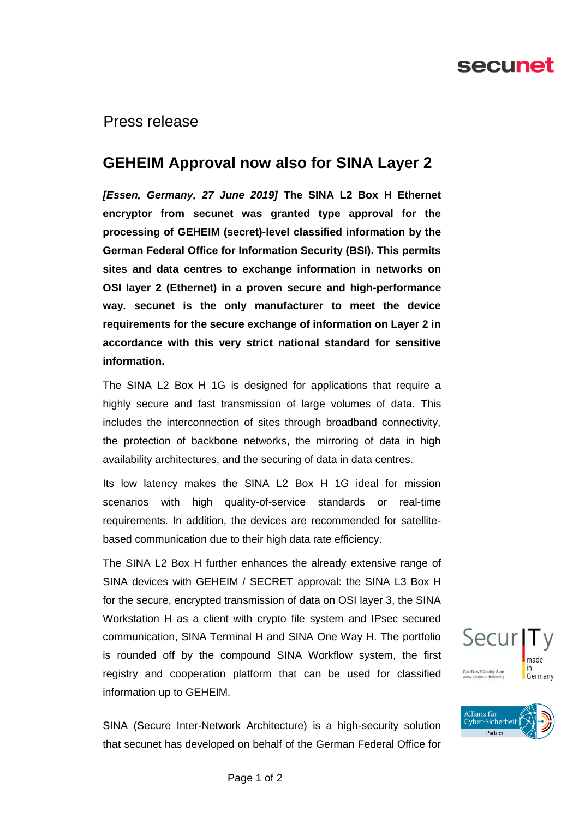# secunet

Press release

## **GEHEIM Approval now also for SINA Layer 2**

*[Essen, Germany, 27 June 2019]* **The SINA L2 Box H Ethernet encryptor from secunet was granted type approval for the processing of GEHEIM (secret)-level classified information by the German Federal Office for Information Security (BSI). This permits sites and data centres to exchange information in networks on OSI layer 2 (Ethernet) in a proven secure and high-performance way. secunet is the only manufacturer to meet the device requirements for the secure exchange of information on Layer 2 in accordance with this very strict national standard for sensitive information.** 

The SINA L2 Box H 1G is designed for applications that require a highly secure and fast transmission of large volumes of data. This includes the interconnection of sites through broadband connectivity, the protection of backbone networks, the mirroring of data in high availability architectures, and the securing of data in data centres.

Its low latency makes the SINA L2 Box H 1G ideal for mission scenarios with high quality-of-service standards or real-time requirements. In addition, the devices are recommended for satellitebased communication due to their high data rate efficiency.

The SINA L2 Box H further enhances the already extensive range of SINA devices with GEHEIM / SECRET approval: the SINA L3 Box H for the secure, encrypted transmission of data on OSI layer 3, the SINA Workstation H as a client with crypto file system and IPsec secured communication, SINA Terminal H and SINA One Way H. The portfolio is rounded off by the compound SINA Workflow system, the first registry and cooperation platform that can be used for classified information up to GEHEIM.

SINA (Secure Inter-Network Architecture) is a high-security solution that secunet has developed on behalf of the German Federal Office for